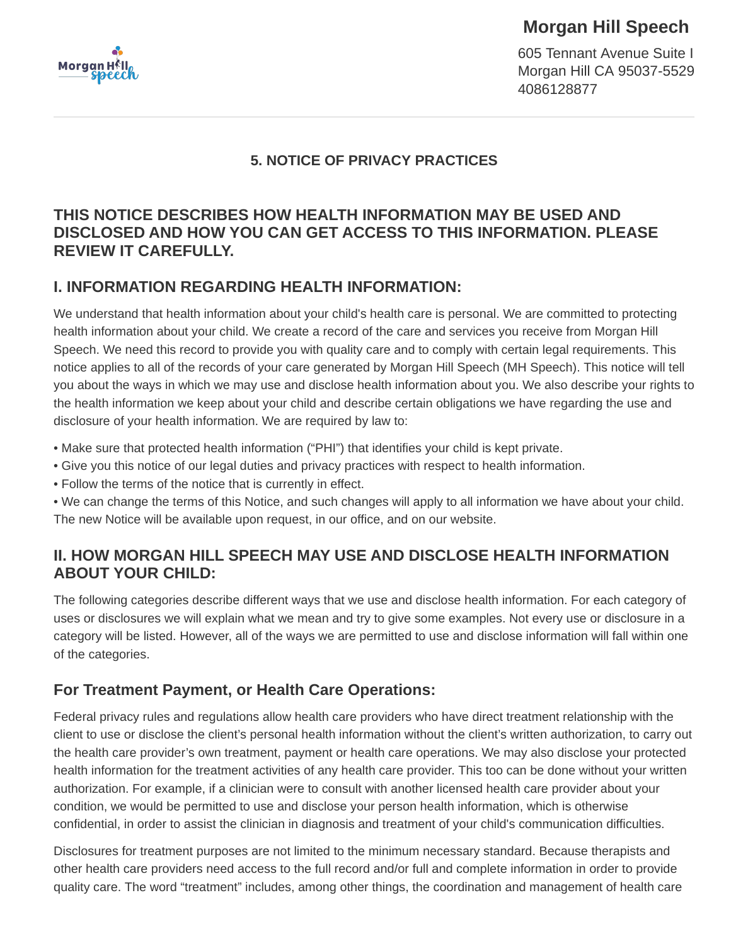

# **Morgan Hill Speech**

605 Tennant Avenue Suite I Morgan Hill CA 95037-5529 4086128877

#### **5. NOTICE OF PRIVACY PRACTICES**

#### **THIS NOTICE DESCRIBES HOW HEALTH INFORMATION MAY BE USED AND DISCLOSED AND HOW YOU CAN GET ACCESS TO THIS INFORMATION. PLEASE REVIEW IT CAREFULLY.**

#### **I. INFORMATION REGARDING HEALTH INFORMATION:**

We understand that health information about your child's health care is personal. We are committed to protecting health information about your child. We create a record of the care and services you receive from Morgan Hill Speech. We need this record to provide you with quality care and to comply with certain legal requirements. This notice applies to all of the records of your care generated by Morgan Hill Speech (MH Speech). This notice will tell you about the ways in which we may use and disclose health information about you. We also describe your rights to the health information we keep about your child and describe certain obligations we have regarding the use and disclosure of your health information. We are required by law to:

- Make sure that protected health information ("PHI") that identifies your child is kept private.
- Give you this notice of our legal duties and privacy practices with respect to health information.
- Follow the terms of the notice that is currently in effect.
- We can change the terms of this Notice, and such changes will apply to all information we have about your child. The new Notice will be available upon request, in our office, and on our website.

#### **II. HOW MORGAN HILL SPEECH MAY USE AND DISCLOSE HEALTH INFORMATION ABOUT YOUR CHILD:**

The following categories describe different ways that we use and disclose health information. For each category of uses or disclosures we will explain what we mean and try to give some examples. Not every use or disclosure in a category will be listed. However, all of the ways we are permitted to use and disclose information will fall within one of the categories.

### **For Treatment Payment, or Health Care Operations:**

Federal privacy rules and regulations allow health care providers who have direct treatment relationship with the client to use or disclose the client's personal health information without the client's written authorization, to carry out the health care provider's own treatment, payment or health care operations. We may also disclose your protected health information for the treatment activities of any health care provider. This too can be done without your written authorization. For example, if a clinician were to consult with another licensed health care provider about your condition, we would be permitted to use and disclose your person health information, which is otherwise confidential, in order to assist the clinician in diagnosis and treatment of your child's communication difficulties.

Disclosures for treatment purposes are not limited to the minimum necessary standard. Because therapists and other health care providers need access to the full record and/or full and complete information in order to provide quality care. The word "treatment" includes, among other things, the coordination and management of health care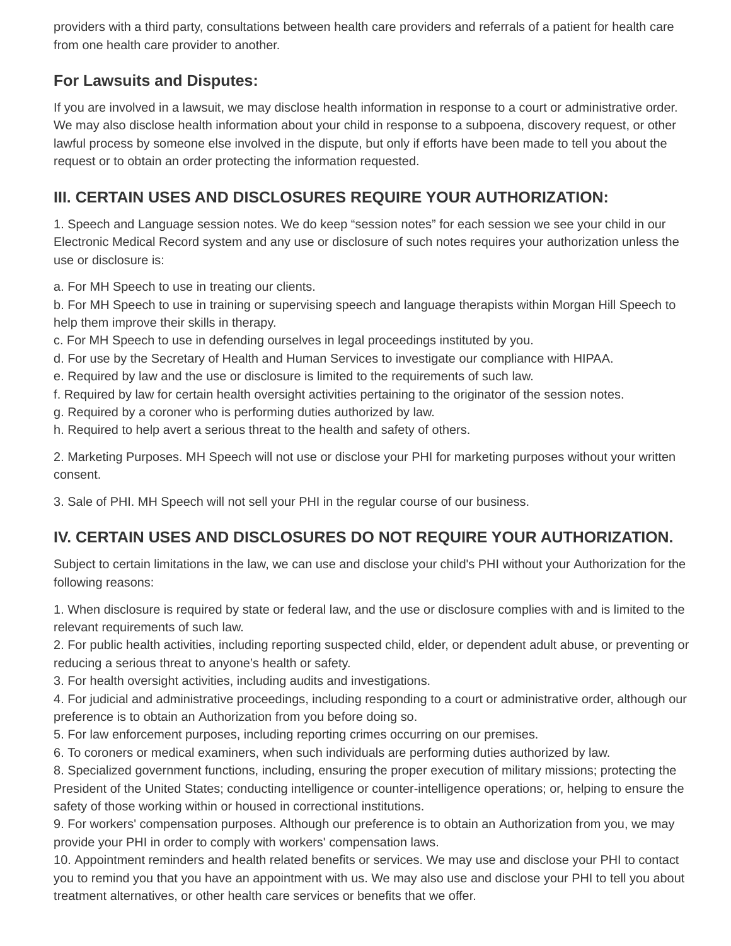providers with a third party, consultations between health care providers and referrals of a patient for health care from one health care provider to another.

## **For Lawsuits and Disputes:**

If you are involved in a lawsuit, we may disclose health information in response to a court or administrative order. We may also disclose health information about your child in response to a subpoena, discovery request, or other lawful process by someone else involved in the dispute, but only if efforts have been made to tell you about the request or to obtain an order protecting the information requested.

## **III. CERTAIN USES AND DISCLOSURES REQUIRE YOUR AUTHORIZATION:**

1. Speech and Language session notes. We do keep "session notes" for each session we see your child in our Electronic Medical Record system and any use or disclosure of such notes requires your authorization unless the use or disclosure is:

a. For MH Speech to use in treating our clients.

b. For MH Speech to use in training or supervising speech and language therapists within Morgan Hill Speech to help them improve their skills in therapy.

c. For MH Speech to use in defending ourselves in legal proceedings instituted by you.

d. For use by the Secretary of Health and Human Services to investigate our compliance with HIPAA.

e. Required by law and the use or disclosure is limited to the requirements of such law.

f. Required by law for certain health oversight activities pertaining to the originator of the session notes.

g. Required by a coroner who is performing duties authorized by law.

h. Required to help avert a serious threat to the health and safety of others.

2. Marketing Purposes. MH Speech will not use or disclose your PHI for marketing purposes without your written consent.

3. Sale of PHI. MH Speech will not sell your PHI in the regular course of our business.

# **IV. CERTAIN USES AND DISCLOSURES DO NOT REQUIRE YOUR AUTHORIZATION.**

Subject to certain limitations in the law, we can use and disclose your child's PHI without your Authorization for the following reasons:

1. When disclosure is required by state or federal law, and the use or disclosure complies with and is limited to the relevant requirements of such law.

2. For public health activities, including reporting suspected child, elder, or dependent adult abuse, or preventing or reducing a serious threat to anyone's health or safety.

3. For health oversight activities, including audits and investigations.

4. For judicial and administrative proceedings, including responding to a court or administrative order, although our preference is to obtain an Authorization from you before doing so.

5. For law enforcement purposes, including reporting crimes occurring on our premises.

6. To coroners or medical examiners, when such individuals are performing duties authorized by law.

8. Specialized government functions, including, ensuring the proper execution of military missions; protecting the President of the United States; conducting intelligence or counter-intelligence operations; or, helping to ensure the safety of those working within or housed in correctional institutions.

9. For workers' compensation purposes. Although our preference is to obtain an Authorization from you, we may provide your PHI in order to comply with workers' compensation laws.

10. Appointment reminders and health related benefits or services. We may use and disclose your PHI to contact you to remind you that you have an appointment with us. We may also use and disclose your PHI to tell you about treatment alternatives, or other health care services or benefits that we offer.